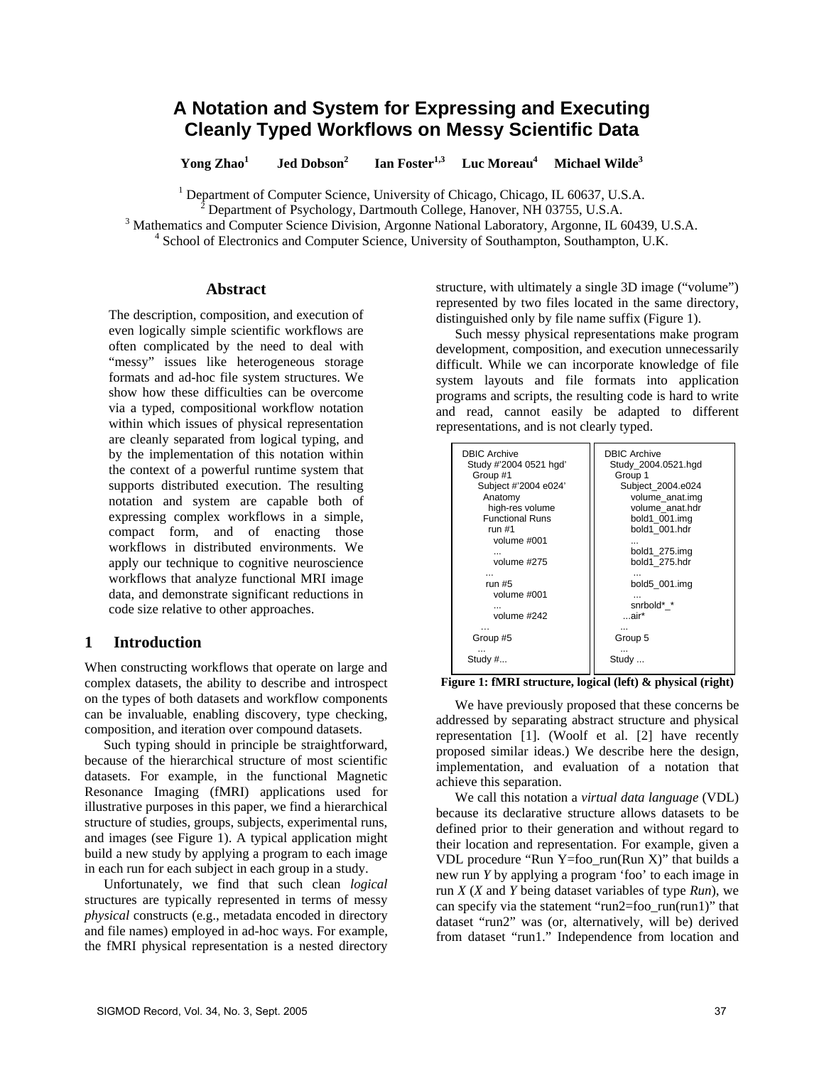# **A Notation and System for Expressing and Executing Cleanly Typed Workflows on Messy Scientific Data**

**Yong Zhao<sup>1</sup> Jed Dobson<sup>2</sup> Ian Foster<sup>1,3</sup> Luc Moreau<sup>4</sup> Michael Wilde3**

<sup>1</sup> Department of Computer Science, University of Chicago, Chicago, IL 60637, U.S.A.  $\frac{2}{3}$  Department of Payabeleau, Destmoyth College, Hangyar, NH 02755, U.S.A.

Department of Psychology, Dartmouth College, Hanover, NH 03755, U.S.A. 3

<sup>3</sup> Mathematics and Computer Science Division, Argonne National Laboratory, Argonne, IL 60439, U.S.A.

<sup>4</sup> School of Electronics and Computer Science, University of Southampton, Southampton, U.K.

### **Abstract**

The description, composition, and execution of even logically simple scientific workflows are often complicated by the need to deal with "messy" issues like heterogeneous storage formats and ad-hoc file system structures. We show how these difficulties can be overcome via a typed, compositional workflow notation within which issues of physical representation are cleanly separated from logical typing, and by the implementation of this notation within the context of a powerful runtime system that supports distributed execution. The resulting notation and system are capable both of expressing complex workflows in a simple, compact form, and of enacting those workflows in distributed environments. We apply our technique to cognitive neuroscience workflows that analyze functional MRI image data, and demonstrate significant reductions in code size relative to other approaches.

### **1 Introduction**

When constructing workflows that operate on large and complex datasets, the ability to describe and introspect on the types of both datasets and workflow components can be invaluable, enabling discovery, type checking, composition, and iteration over compound datasets.

Such typing should in principle be straightforward, because of the hierarchical structure of most scientific datasets. For example, in the functional Magnetic Resonance Imaging (fMRI) applications used for illustrative purposes in this paper, we find a hierarchical structure of studies, groups, subjects, experimental runs, and images (see Figure 1). A typical application might build a new study by applying a program to each image in each run for each subject in each group in a study.

Unfortunately, we find that such clean *logical* structures are typically represented in terms of messy *physical* constructs (e.g., metadata encoded in directory and file names) employed in ad-hoc ways. For example, the fMRI physical representation is a nested directory structure, with ultimately a single 3D image ("volume") represented by two files located in the same directory, distinguished only by file name suffix (Figure 1).

Such messy physical representations make program development, composition, and execution unnecessarily difficult. While we can incorporate knowledge of file system layouts and file formats into application programs and scripts, the resulting code is hard to write and read, cannot easily be adapted to different representations, and is not clearly typed.

| <b>DBIC Archive</b>    | <b>DBIC Archive</b> |
|------------------------|---------------------|
| Study #'2004 0521 hgd' | Study 2004.0521.hgd |
| Group #1               | Group 1             |
| Subject #'2004 e024'   | Subject_2004.e024   |
| Anatomy                | volume anat.img     |
| high-res volume        | volume anat.hdr     |
| <b>Functional Runs</b> | bold1 001.img       |
| run $#1$               | bold1 001.hdr       |
| volume #001            | bold1 275.img       |
| volume #275            | bold1 275.hdr       |
| run $#5$               | bold5 001.img       |
| volume #001            | snrbold* *          |
| volume #242            | …air*               |
| Group #5               | Group 5             |
| Study #                | Study               |

**Figure 1: fMRI structure, logical (left) & physical (right)** 

We have previously proposed that these concerns be addressed by separating abstract structure and physical representation [1]. (Woolf et al. [2] have recently proposed similar ideas.) We describe here the design, implementation, and evaluation of a notation that achieve this separation.

We call this notation a *virtual data language* (VDL) because its declarative structure allows datasets to be defined prior to their generation and without regard to their location and representation. For example, given a VDL procedure "Run Y=foo\_run(Run X)" that builds a new run *Y* by applying a program 'foo' to each image in run *X* (*X* and *Y* being dataset variables of type *Run*), we can specify via the statement "run2=foo\_run(run1)" that dataset "run2" was (or, alternatively, will be) derived from dataset "run1." Independence from location and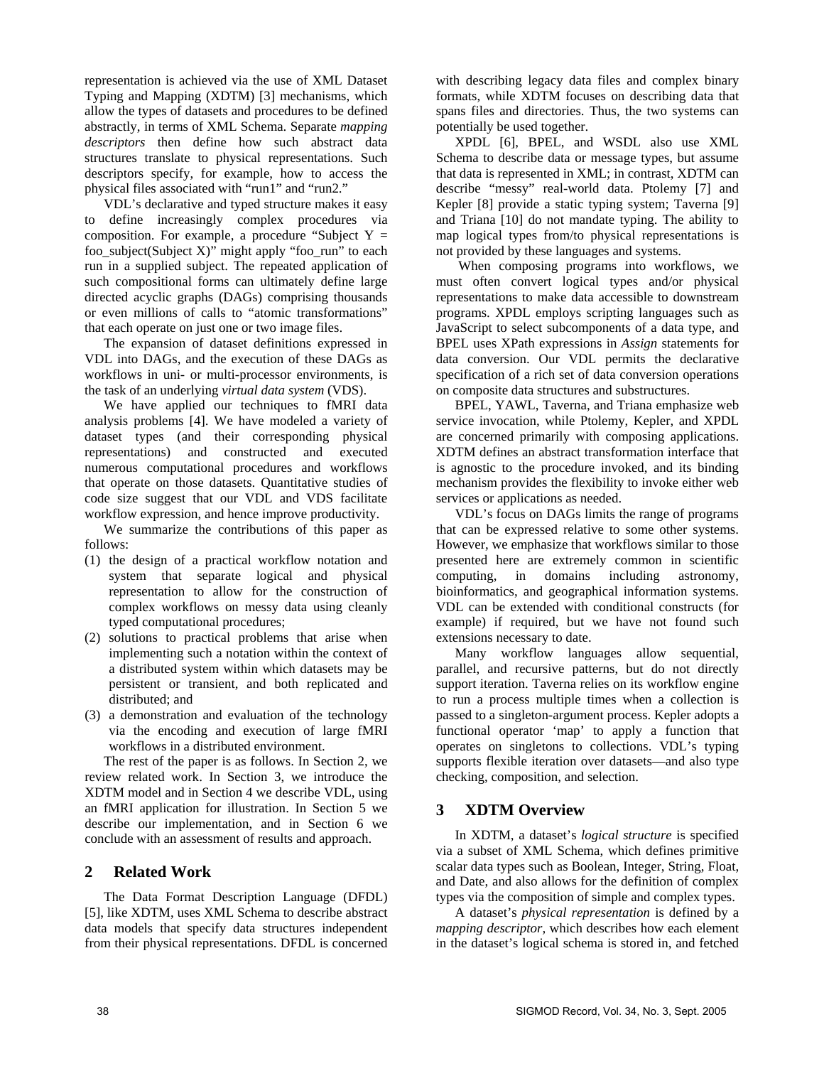representation is achieved via the use of XML Dataset Typing and Mapping (XDTM) [3] mechanisms, which allow the types of datasets and procedures to be defined abstractly, in terms of XML Schema. Separate *mapping descriptors* then define how such abstract data structures translate to physical representations. Such descriptors specify, for example, how to access the physical files associated with "run1" and "run2."

VDL's declarative and typed structure makes it easy to define increasingly complex procedures via composition. For example, a procedure "Subject  $Y =$ foo\_subject(Subject X)" might apply "foo\_run" to each run in a supplied subject. The repeated application of such compositional forms can ultimately define large directed acyclic graphs (DAGs) comprising thousands or even millions of calls to "atomic transformations" that each operate on just one or two image files.

The expansion of dataset definitions expressed in VDL into DAGs, and the execution of these DAGs as workflows in uni- or multi-processor environments, is the task of an underlying *virtual data system* (VDS).

We have applied our techniques to fMRI data analysis problems [4]. We have modeled a variety of dataset types (and their corresponding physical representations) and constructed and executed numerous computational procedures and workflows that operate on those datasets. Quantitative studies of code size suggest that our VDL and VDS facilitate workflow expression, and hence improve productivity.

We summarize the contributions of this paper as follows:

- (1) the design of a practical workflow notation and system that separate logical and physical representation to allow for the construction of complex workflows on messy data using cleanly typed computational procedures;
- (2) solutions to practical problems that arise when implementing such a notation within the context of a distributed system within which datasets may be persistent or transient, and both replicated and distributed; and
- (3) a demonstration and evaluation of the technology via the encoding and execution of large fMRI workflows in a distributed environment.

The rest of the paper is as follows. In Section 2, we review related work. In Section 3, we introduce the XDTM model and in Section 4 we describe VDL, using an fMRI application for illustration. In Section 5 we describe our implementation, and in Section 6 we conclude with an assessment of results and approach.

### **2 Related Work**

The Data Format Description Language (DFDL) [5], like XDTM, uses XML Schema to describe abstract data models that specify data structures independent from their physical representations. DFDL is concerned with describing legacy data files and complex binary formats, while XDTM focuses on describing data that spans files and directories. Thus, the two systems can potentially be used together.

XPDL [6], BPEL, and WSDL also use XML Schema to describe data or message types, but assume that data is represented in XML; in contrast, XDTM can describe "messy" real-world data. Ptolemy [7] and Kepler [8] provide a static typing system; Taverna [9] and Triana [10] do not mandate typing. The ability to map logical types from/to physical representations is not provided by these languages and systems.

 When composing programs into workflows, we must often convert logical types and/or physical representations to make data accessible to downstream programs. XPDL employs scripting languages such as JavaScript to select subcomponents of a data type, and BPEL uses XPath expressions in *Assign* statements for data conversion. Our VDL permits the declarative specification of a rich set of data conversion operations on composite data structures and substructures.

BPEL, YAWL, Taverna, and Triana emphasize web service invocation, while Ptolemy, Kepler, and XPDL are concerned primarily with composing applications. XDTM defines an abstract transformation interface that is agnostic to the procedure invoked, and its binding mechanism provides the flexibility to invoke either web services or applications as needed.

VDL's focus on DAGs limits the range of programs that can be expressed relative to some other systems. However, we emphasize that workflows similar to those presented here are extremely common in scientific computing, in domains including astronomy, bioinformatics, and geographical information systems. VDL can be extended with conditional constructs (for example) if required, but we have not found such extensions necessary to date.

Many workflow languages allow sequential, parallel, and recursive patterns, but do not directly support iteration. Taverna relies on its workflow engine to run a process multiple times when a collection is passed to a singleton-argument process. Kepler adopts a functional operator 'map' to apply a function that operates on singletons to collections. VDL's typing supports flexible iteration over datasets—and also type checking, composition, and selection.

# **3 XDTM Overview**

In XDTM, a dataset's *logical structure* is specified via a subset of XML Schema, which defines primitive scalar data types such as Boolean, Integer, String, Float, and Date, and also allows for the definition of complex types via the composition of simple and complex types.

A dataset's *physical representation* is defined by a *mapping descriptor,* which describes how each element in the dataset's logical schema is stored in, and fetched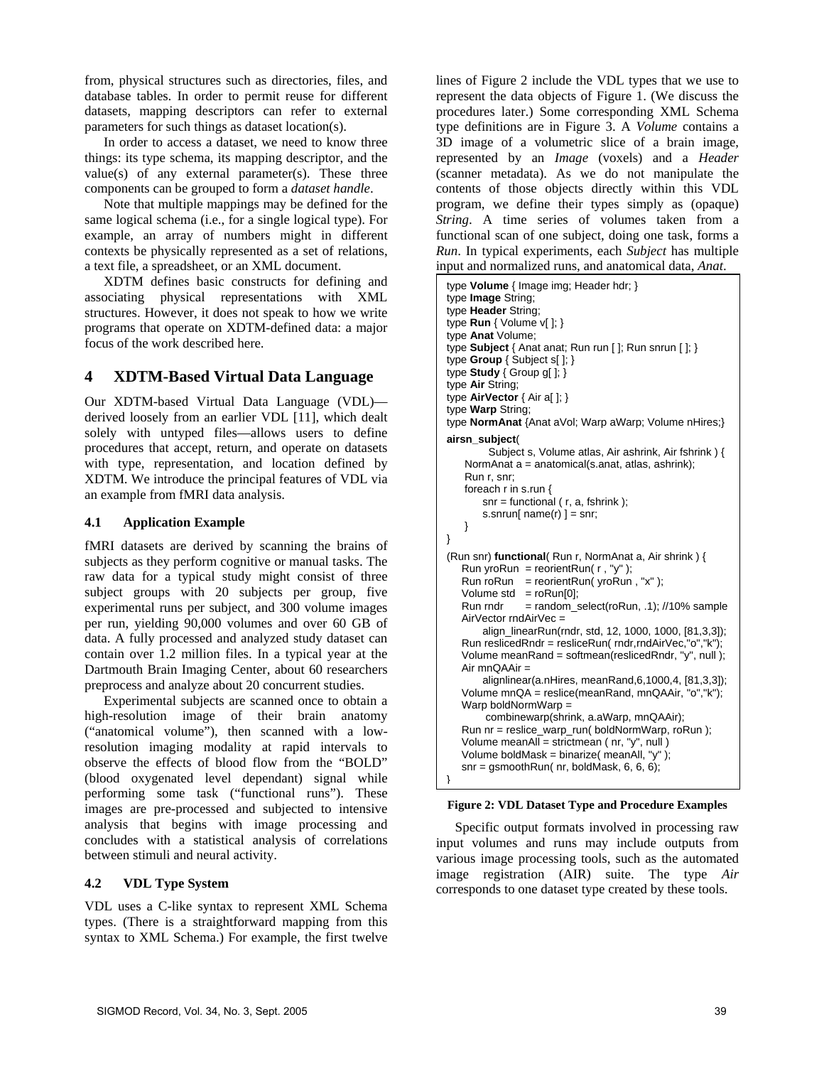from, physical structures such as directories, files, and database tables. In order to permit reuse for different datasets, mapping descriptors can refer to external parameters for such things as dataset location(s).

In order to access a dataset, we need to know three things: its type schema, its mapping descriptor, and the value(s) of any external parameter(s). These three components can be grouped to form a *dataset handle*.

Note that multiple mappings may be defined for the same logical schema (i.e., for a single logical type). For example, an array of numbers might in different contexts be physically represented as a set of relations, a text file, a spreadsheet, or an XML document.

XDTM defines basic constructs for defining and associating physical representations with XML structures. However, it does not speak to how we write programs that operate on XDTM-defined data: a major focus of the work described here.

# **4 XDTM-Based Virtual Data Language**

Our XDTM-based Virtual Data Language (VDL) derived loosely from an earlier VDL [11], which dealt solely with untyped files—allows users to define procedures that accept, return, and operate on datasets with type, representation, and location defined by XDTM. We introduce the principal features of VDL via an example from fMRI data analysis.

# **4.1 Application Example**

fMRI datasets are derived by scanning the brains of subjects as they perform cognitive or manual tasks. The raw data for a typical study might consist of three subject groups with 20 subjects per group, five experimental runs per subject, and 300 volume images per run, yielding 90,000 volumes and over 60 GB of data. A fully processed and analyzed study dataset can contain over 1.2 million files. In a typical year at the Dartmouth Brain Imaging Center, about 60 researchers preprocess and analyze about 20 concurrent studies.

Experimental subjects are scanned once to obtain a high-resolution image of their brain anatomy ("anatomical volume"), then scanned with a lowresolution imaging modality at rapid intervals to observe the effects of blood flow from the "BOLD" (blood oxygenated level dependant) signal while performing some task ("functional runs"). These images are pre-processed and subjected to intensive analysis that begins with image processing and concludes with a statistical analysis of correlations between stimuli and neural activity.

# **4.2 VDL Type System**

VDL uses a C-like syntax to represent XML Schema types. (There is a straightforward mapping from this syntax to XML Schema.) For example, the first twelve lines of Figure 2 include the VDL types that we use to represent the data objects of Figure 1. (We discuss the procedures later.) Some corresponding XML Schema type definitions are in Figure 3. A *Volume* contains a 3D image of a volumetric slice of a brain image, represented by an *Image* (voxels) and a *Header* (scanner metadata). As we do not manipulate the contents of those objects directly within this VDL program, we define their types simply as (opaque) *String*. A time series of volumes taken from a functional scan of one subject, doing one task, forms a *Run*. In typical experiments, each *Subject* has multiple input and normalized runs, and anatomical data, *Anat*.

```
type Volume { Image img; Header hdr; } 
type Image String; 
type Header String; 
type Run { Volume v[ ]; } 
type Anat Volume; 
type Subject { Anat anat; Run run [ ]; Run snrun [ ]; } 
type Group { Subject s[ ]; } 
type Study { Group g[ ]; } 
type Air String; 
type AirVector { Air a[ ]; } 
type Warp String; 
type NormAnat {Anat aVol; Warp aWarp; Volume nHires;} 
airsn_subject( 
          Subject s, Volume atlas, Air ashrink, Air fshrink ) { 
     NormAnat a = anatomical(s.anat, atlas, ashrink); 
     Run r, snr; 
     foreach r in s.run { 
        snr = functional (r, a, fshrink);
        s.snrun[ name(r) ] = snr;
     } 
} 
(Run snr) functional( Run r, NormAnat a, Air shrink ) { 
   Run yroRun = reorientRun(r, "v");
   Run roRun = reorientRun( yroRun, "x" );
   Volume std = roRun[0];Run rndr = random_select(roRun, .1); //10% sample
    AirVector rndAirVec = 
         align_linearRun(rndr, std, 12, 1000, 1000, [81,3,3]); 
    Run reslicedRndr = resliceRun( rndr,rndAirVec,"o","k"); 
    Volume meanRand = softmean(reslicedRndr, "y", null ); 
    Air mnQAAir = 
        alignlinear(a.nHires, meanRand,6,1000,4, [81,3,3]); 
    Volume mnQA = reslice(meanRand, mnQAAir, "o","k"); 
   Warp boldNormWarp =
         combinewarp(shrink, a.aWarp, mnQAAir); 
    Run nr = reslice_warp_run( boldNormWarp, roRun ); 
    Volume meanAll = strictmean ( nr, "y", null ) 
    Volume boldMask = binarize( meanAll, "y" ); 
   snr = gsmoothRun( nr, boldMask, 6, 6, 6);}
```
### **Figure 2: VDL Dataset Type and Procedure Examples**

Specific output formats involved in processing raw input volumes and runs may include outputs from various image processing tools, such as the automated image registration (AIR) suite. The type *Air* corresponds to one dataset type created by these tools.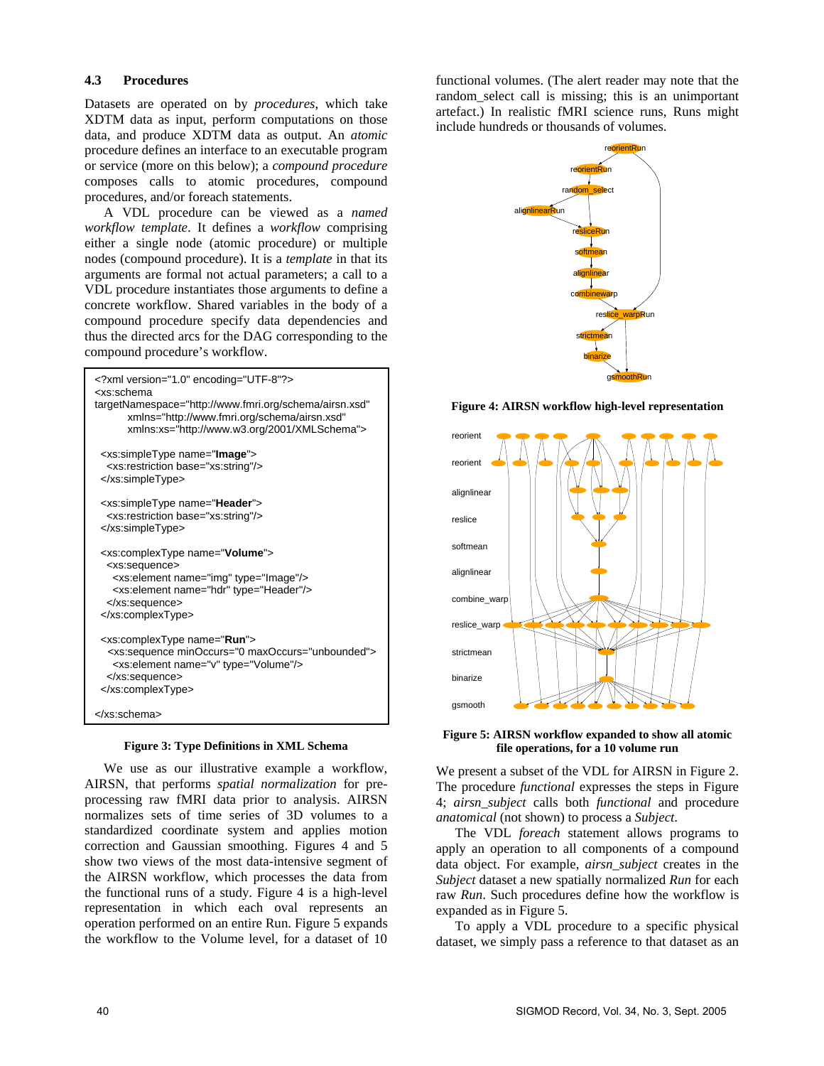### **4.3 Procedures**

Datasets are operated on by *procedures*, which take XDTM data as input, perform computations on those data, and produce XDTM data as output. An *atomic*  procedure defines an interface to an executable program or service (more on this below); a *compound procedure* composes calls to atomic procedures, compound procedures, and/or foreach statements.

A VDL procedure can be viewed as a *named workflow template*. It defines a *workflow* comprising either a single node (atomic procedure) or multiple nodes (compound procedure). It is a *template* in that its arguments are formal not actual parameters; a call to a VDL procedure instantiates those arguments to define a concrete workflow. Shared variables in the body of a compound procedure specify data dependencies and thus the directed arcs for the DAG corresponding to the compound procedure's workflow.

| xml version="1.0" encoding="UTF-8"?<br><xs:schema<br>targetNamespace="http://www.fmri.org/schema/airsn.xsd"<br/>xmlns="http://www.fmri.org/schema/airsn.xsd"<br/>xmlns:xs="http://www.w3.org/2001/XMLSchema"&gt;</xs:schema<br> |
|---------------------------------------------------------------------------------------------------------------------------------------------------------------------------------------------------------------------------------|
| <xs:simpletype name="&lt;b&gt;Image&lt;/b&gt;"><br/><xs:restriction base="xs:string"></xs:restriction><br/></xs:simpletype>                                                                                                     |
| <xs:simpletype name="Header"><br/><xs:restriction base="xs:string"></xs:restriction><br/></xs:simpletype>                                                                                                                       |
| <xs:complextype name="Volume"><br/><xs:sequence><br/><xs:element name="img" type="lmage"></xs:element><br/><xs:element name="hdr" type="Header"></xs:element><br/></xs:sequence><br/></xs:complextype>                          |
| <xs:complextype name="Run"><br/><xs:sequence minoccurs="0 maxOccurs=" unbounded"=""><br/><xs:element name="v" type="Volume"></xs:element><br/></xs:sequence><br/></xs:complextype>                                              |
|                                                                                                                                                                                                                                 |

#### **Figure 3: Type Definitions in XML Schema**

We use as our illustrative example a workflow, AIRSN, that performs *spatial normalization* for preprocessing raw fMRI data prior to analysis. AIRSN normalizes sets of time series of 3D volumes to a standardized coordinate system and applies motion correction and Gaussian smoothing. Figures 4 and 5 show two views of the most data-intensive segment of the AIRSN workflow, which processes the data from the functional runs of a study. Figure 4 is a high-level representation in which each oval represents an operation performed on an entire Run. Figure 5 expands the workflow to the Volume level, for a dataset of 10 functional volumes. (The alert reader may note that the random select call is missing; this is an unimportant artefact.) In realistic fMRI science runs, Runs might include hundreds or thousands of volumes.



**Figure 4: AIRSN workflow high-level representation**



**Figure 5: AIRSN workflow expanded to show all atomic file operations, for a 10 volume run**

We present a subset of the VDL for AIRSN in Figure 2. The procedure *functional* expresses the steps in Figure 4; *airsn\_subject* calls both *functional* and procedure *anatomical* (not shown) to process a *Subject*.

The VDL *foreach* statement allows programs to apply an operation to all components of a compound data object. For example, *airsn\_subject* creates in the *Subject* dataset a new spatially normalized *Run* for each raw *Run*. Such procedures define how the workflow is expanded as in Figure 5.

To apply a VDL procedure to a specific physical dataset, we simply pass a reference to that dataset as an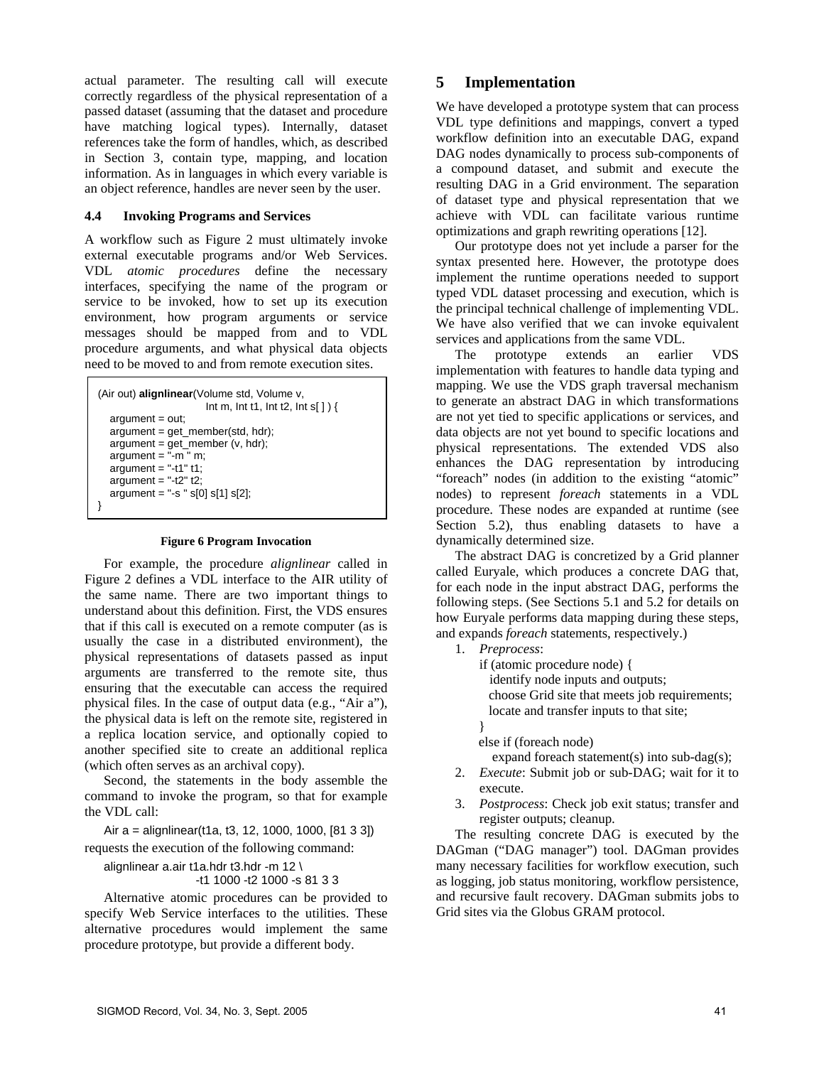actual parameter. The resulting call will execute correctly regardless of the physical representation of a passed dataset (assuming that the dataset and procedure have matching logical types). Internally, dataset references take the form of handles, which, as described in Section 3, contain type, mapping, and location information. As in languages in which every variable is an object reference, handles are never seen by the user.

### **4.4 Invoking Programs and Services**

A workflow such as Figure 2 must ultimately invoke external executable programs and/or Web Services. VDL *atomic procedures* define the necessary interfaces, specifying the name of the program or service to be invoked, how to set up its execution environment, how program arguments or service messages should be mapped from and to VDL procedure arguments, and what physical data objects need to be moved to and from remote execution sites.

```
(Air out) alignlinear(Volume std, Volume v, 
                        Int m, Int t1, Int t2, Int s[ ] ) { 
   argument = out; 
   argument = get_member(std, hdr); 
   argument = get_member (v, hdr); 
  argument = "-m" m;argument = -11 t1;
  argument = -12" t2;
  argument = "-s " s[0] s[1] s[2];}
```
#### **Figure 6 Program Invocation**

For example, the procedure *alignlinear* called in Figure 2 defines a VDL interface to the AIR utility of the same name. There are two important things to understand about this definition. First, the VDS ensures that if this call is executed on a remote computer (as is usually the case in a distributed environment), the physical representations of datasets passed as input arguments are transferred to the remote site, thus ensuring that the executable can access the required physical files. In the case of output data (e.g., "Air a"), the physical data is left on the remote site, registered in a replica location service, and optionally copied to another specified site to create an additional replica (which often serves as an archival copy).

Second, the statements in the body assemble the command to invoke the program, so that for example the VDL call:

Air a = alignlinear(t1a, t3, 12, 1000, 1000, [81 3 3]) requests the execution of the following command:

alignlinear a.air t1a.hdr t3.hdr -m 12 \

-t1 1000 -t2 1000 -s 81 3 3

Alternative atomic procedures can be provided to specify Web Service interfaces to the utilities. These alternative procedures would implement the same procedure prototype, but provide a different body.

### **5 Implementation**

We have developed a prototype system that can process VDL type definitions and mappings, convert a typed workflow definition into an executable DAG, expand DAG nodes dynamically to process sub-components of a compound dataset, and submit and execute the resulting DAG in a Grid environment. The separation of dataset type and physical representation that we achieve with VDL can facilitate various runtime optimizations and graph rewriting operations [12].

Our prototype does not yet include a parser for the syntax presented here. However, the prototype does implement the runtime operations needed to support typed VDL dataset processing and execution, which is the principal technical challenge of implementing VDL. We have also verified that we can invoke equivalent services and applications from the same VDL.

The prototype extends an earlier VDS implementation with features to handle data typing and mapping. We use the VDS graph traversal mechanism to generate an abstract DAG in which transformations are not yet tied to specific applications or services, and data objects are not yet bound to specific locations and physical representations. The extended VDS also enhances the DAG representation by introducing "foreach" nodes (in addition to the existing "atomic" nodes) to represent *foreach* statements in a VDL procedure. These nodes are expanded at runtime (see Section 5.2), thus enabling datasets to have a dynamically determined size.

The abstract DAG is concretized by a Grid planner called Euryale, which produces a concrete DAG that, for each node in the input abstract DAG, performs the following steps. (See Sections 5.1 and 5.2 for details on how Euryale performs data mapping during these steps, and expands *foreach* statements, respectively.)

### 1. *Preprocess*:

if (atomic procedure node) {

identify node inputs and outputs;

 choose Grid site that meets job requirements; locate and transfer inputs to that site;

}

else if (foreach node)

expand foreach statement(s) into sub-dag(s);

- 2. *Execute*: Submit job or sub-DAG; wait for it to execute.
- 3. *Postprocess*: Check job exit status; transfer and register outputs; cleanup.

The resulting concrete DAG is executed by the DAGman ("DAG manager") tool. DAGman provides many necessary facilities for workflow execution, such as logging, job status monitoring, workflow persistence, and recursive fault recovery. DAGman submits jobs to Grid sites via the Globus GRAM protocol.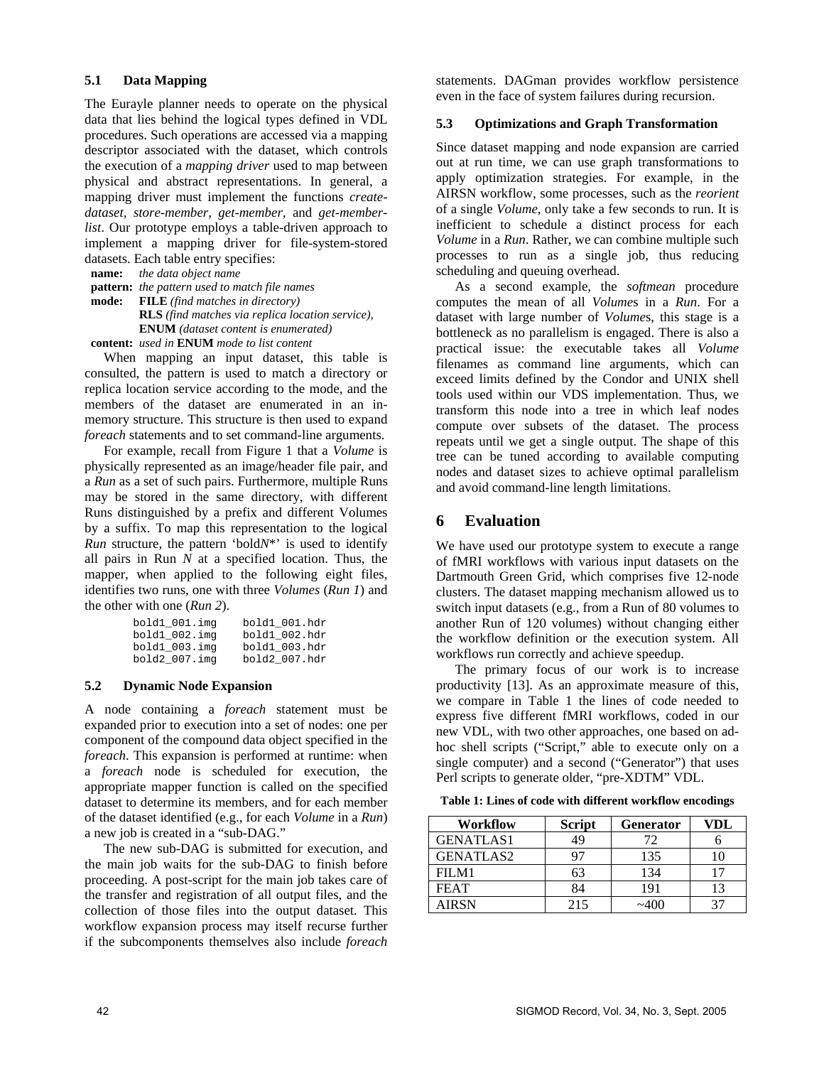### **5.1 Data Mapping**

The Eurayle planner needs to operate on the physical data that lies behind the logical types defined in VDL procedures. Such operations are accessed via a mapping descriptor associated with the dataset, which controls the execution of a *mapping driver* used to map between physical and abstract representations. In general, a mapping driver must implement the functions *createdataset, store-member, get-member,* and *get-memberlist*. Our prototype employs a table-driven approach to implement a mapping driver for file-system-stored datasets. Each table entry specifies:

**name:** *the data object name* 

**pattern:** *the pattern used to match file names* **mode: FILE** *(find matches in directory)*   **RLS** *(find matches via replica location service),*  **ENUM** *(dataset content is enumerated)* **content:** *used in* **ENUM** *mode to list content* 

When mapping an input dataset, this table is consulted, the pattern is used to match a directory or replica location service according to the mode, and the members of the dataset are enumerated in an inmemory structure. This structure is then used to expand *foreach* statements and to set command-line arguments.

For example, recall from Figure 1 that a *Volume* is physically represented as an image/header file pair, and a *Run* as a set of such pairs. Furthermore, multiple Runs may be stored in the same directory, with different Runs distinguished by a prefix and different Volumes by a suffix. To map this representation to the logical *Run* structure, the pattern 'bold*N*\*' is used to identify all pairs in Run *N* at a specified location. Thus, the mapper, when applied to the following eight files, identifies two runs, one with three *Volumes* (*Run 1*) and the other with one (*Run 2*).

| $bold_001$ .img       | bold1_001.hdr |
|-----------------------|---------------|
| $bold_002.\text{img}$ | bold1 002.hdr |
| bold1 003.imq         | bold1 003.hdr |
| $bold2_007.inq$       | bold2 007.hdr |

### **5.2 Dynamic Node Expansion**

A node containing a *foreach* statement must be expanded prior to execution into a set of nodes: one per component of the compound data object specified in the *foreach*. This expansion is performed at runtime: when a *foreach* node is scheduled for execution, the appropriate mapper function is called on the specified dataset to determine its members, and for each member of the dataset identified (e.g., for each *Volume* in a *Run*) a new job is created in a "sub-DAG."

The new sub-DAG is submitted for execution, and the main job waits for the sub-DAG to finish before proceeding. A post-script for the main job takes care of the transfer and registration of all output files, and the collection of those files into the output dataset. This workflow expansion process may itself recurse further if the subcomponents themselves also include *foreach* statements. DAGman provides workflow persistence even in the face of system failures during recursion.

# **5.3 Optimizations and Graph Transformation**

Since dataset mapping and node expansion are carried out at run time, we can use graph transformations to apply optimization strategies. For example, in the AIRSN workflow, some processes, such as the *reorient* of a single *Volume*, only take a few seconds to run. It is inefficient to schedule a distinct process for each *Volume* in a *Run*. Rather, we can combine multiple such processes to run as a single job, thus reducing scheduling and queuing overhead.

As a second example, the *softmean* procedure computes the mean of all *Volume*s in a *Run*. For a dataset with large number of *Volume*s, this stage is a bottleneck as no parallelism is engaged. There is also a practical issue: the executable takes all *Volume* filenames as command line arguments, which can exceed limits defined by the Condor and UNIX shell tools used within our VDS implementation. Thus, we transform this node into a tree in which leaf nodes compute over subsets of the dataset. The process repeats until we get a single output. The shape of this tree can be tuned according to available computing nodes and dataset sizes to achieve optimal parallelism and avoid command-line length limitations.

# **6 Evaluation**

We have used our prototype system to execute a range of fMRI workflows with various input datasets on the Dartmouth Green Grid, which comprises five 12-node clusters. The dataset mapping mechanism allowed us to switch input datasets (e.g., from a Run of 80 volumes to another Run of 120 volumes) without changing either the workflow definition or the execution system. All workflows run correctly and achieve speedup.

The primary focus of our work is to increase productivity [13]. As an approximate measure of this, we compare in Table 1 the lines of code needed to express five different fMRI workflows, coded in our new VDL, with two other approaches, one based on adhoc shell scripts ("Script," able to execute only on a single computer) and a second ("Generator") that uses Perl scripts to generate older, "pre-XDTM" VDL.

**Table 1: Lines of code with different workflow encodings** 

| Workflow         | <b>Script</b> | <b>Generator</b> | VDL |
|------------------|---------------|------------------|-----|
| <b>GENATLAS1</b> | 49            | 72               |     |
| <b>GENATLAS2</b> |               | 135              |     |
| FILM1            | 63            | 134              |     |
| <b>FEAT</b>      | 84            | 191              |     |
| AIRSN            | 215           |                  |     |